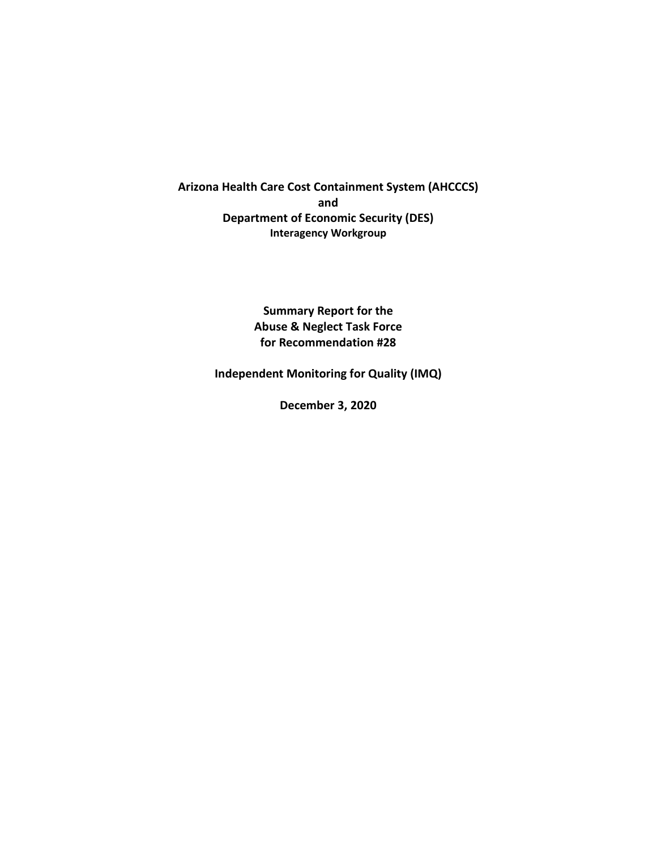**Arizona Health Care Cost Containment System (AHCCCS) and Department of Economic Security (DES) Interagency Workgroup**

> **Summary Report for the Abuse & Neglect Task Force for Recommendation #28**

**Independent Monitoring for Quality (IMQ)**

**December 3, 2020**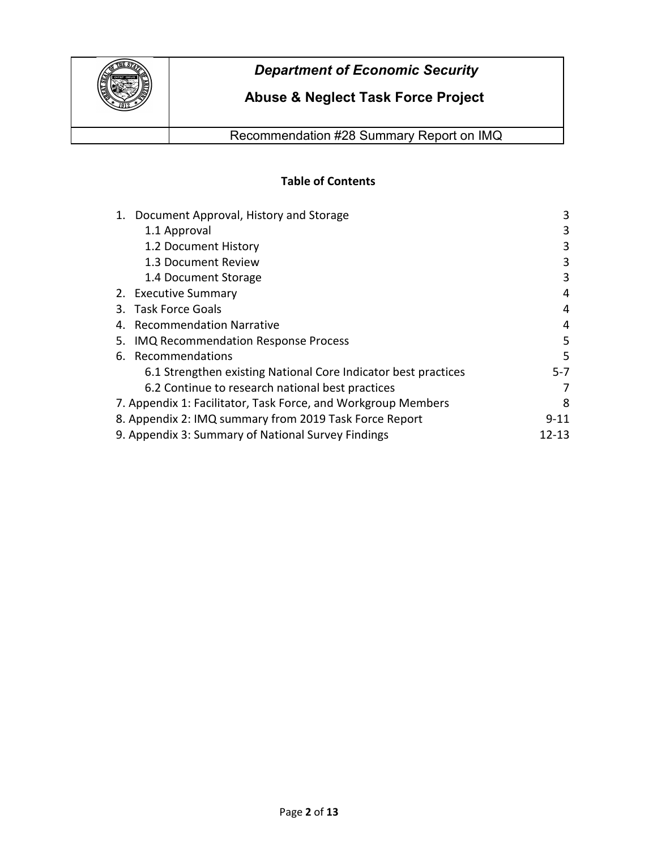

# **Abuse & Neglect Task Force Project**

Recommendation #28 Summary Report on IMQ

## **Table of Contents**

| 1. Document Approval, History and Storage                      | 3     |  |
|----------------------------------------------------------------|-------|--|
| 1.1 Approval                                                   | 3     |  |
| 1.2 Document History                                           | 3     |  |
| 1.3 Document Review                                            | 3     |  |
| 1.4 Document Storage                                           | 3     |  |
| 2. Executive Summary                                           | 4     |  |
| 3. Task Force Goals                                            | 4     |  |
| <b>Recommendation Narrative</b><br>4.                          | 4     |  |
| IMQ Recommendation Response Process<br>5.                      | 5     |  |
| 6. Recommendations                                             | 5     |  |
| 6.1 Strengthen existing National Core Indicator best practices | 5-7   |  |
| 6.2 Continue to research national best practices               |       |  |
| 7. Appendix 1: Facilitator, Task Force, and Workgroup Members  | 8     |  |
| 8. Appendix 2: IMQ summary from 2019 Task Force Report         |       |  |
| 9. Appendix 3: Summary of National Survey Findings             | 12-13 |  |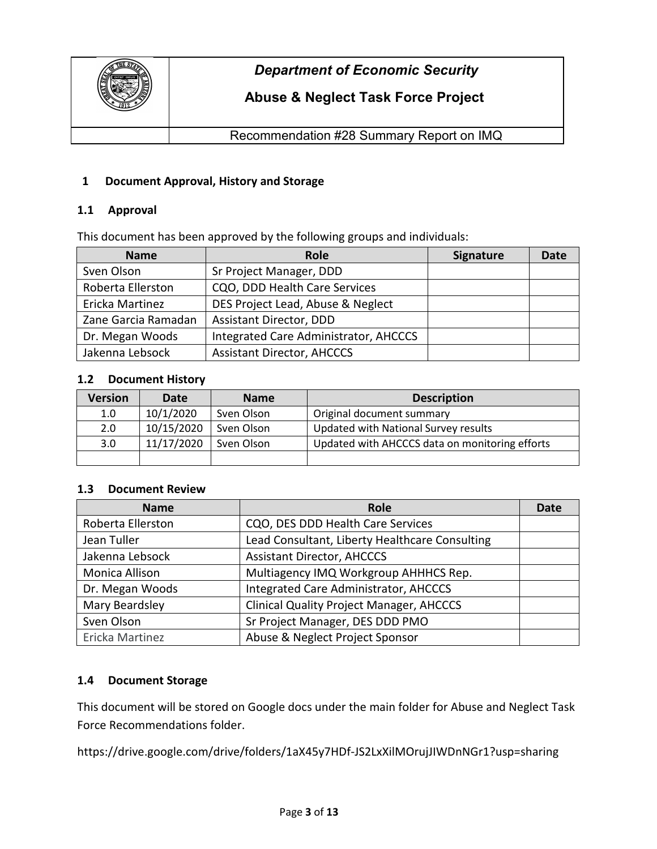

# **Abuse & Neglect Task Force Project**

Recommendation #28 Summary Report on IMQ

## **1 Document Approval, History and Storage**

## **1.1 Approval**

This document has been approved by the following groups and individuals:

| <b>Name</b>         | Role                                  | <b>Signature</b> | Date |
|---------------------|---------------------------------------|------------------|------|
| Sven Olson          | Sr Project Manager, DDD               |                  |      |
| Roberta Ellerston   | CQO, DDD Health Care Services         |                  |      |
| Ericka Martinez     | DES Project Lead, Abuse & Neglect     |                  |      |
| Zane Garcia Ramadan | <b>Assistant Director, DDD</b>        |                  |      |
| Dr. Megan Woods     | Integrated Care Administrator, AHCCCS |                  |      |
| Jakenna Lebsock     | <b>Assistant Director, AHCCCS</b>     |                  |      |

## **1.2 Document History**

| <b>Version</b> | Date       | <b>Name</b> | <b>Description</b>                             |
|----------------|------------|-------------|------------------------------------------------|
| 1.0            | 10/1/2020  | Sven Olson  | Original document summary                      |
| 2.0            | 10/15/2020 | Sven Olson  | Updated with National Survey results           |
| 3.0            | 11/17/2020 | Sven Olson  | Updated with AHCCCS data on monitoring efforts |
|                |            |             |                                                |

## **1.3 Document Review**

| <b>Name</b>       | <b>Role</b>                                     | Date |
|-------------------|-------------------------------------------------|------|
| Roberta Ellerston | CQO, DES DDD Health Care Services               |      |
| Jean Tuller       | Lead Consultant, Liberty Healthcare Consulting  |      |
| Jakenna Lebsock   | <b>Assistant Director, AHCCCS</b>               |      |
| Monica Allison    | Multiagency IMQ Workgroup AHHHCS Rep.           |      |
| Dr. Megan Woods   | Integrated Care Administrator, AHCCCS           |      |
| Mary Beardsley    | <b>Clinical Quality Project Manager, AHCCCS</b> |      |
| Sven Olson        | Sr Project Manager, DES DDD PMO                 |      |
| Ericka Martinez   | Abuse & Neglect Project Sponsor                 |      |

## **1.4 Document Storage**

This document will be stored on Google docs under the main folder for Abuse and Neglect Task Force Recommendations folder.

https://drive.google.com/drive/folders/1aX45y7HDf-JS2LxXilMOrujJIWDnNGr1?usp=sharing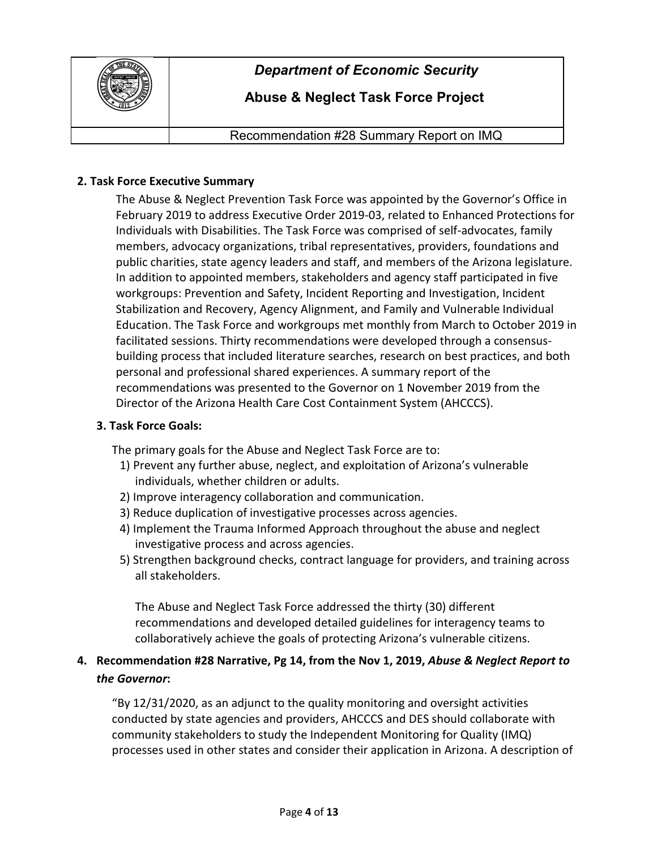

# **Abuse & Neglect Task Force Project**

Recommendation #28 Summary Report on IMQ

## **2. Task Force Executive Summary**

The Abuse & Neglect Prevention Task Force was appointed by the Governor's Office in February 2019 to address Executive Order 2019-03, related to Enhanced Protections for Individuals with Disabilities. The Task Force was comprised of self-advocates, family members, advocacy organizations, tribal representatives, providers, foundations and public charities, state agency leaders and staff, and members of the Arizona legislature. In addition to appointed members, stakeholders and agency staff participated in five workgroups: Prevention and Safety, Incident Reporting and Investigation, Incident Stabilization and Recovery, Agency Alignment, and Family and Vulnerable Individual Education. The Task Force and workgroups met monthly from March to October 2019 in facilitated sessions. Thirty recommendations were developed through a consensusbuilding process that included literature searches, research on best practices, and both personal and professional shared experiences. A summary report of the recommendations was presented to the Governor on 1 November 2019 from the Director of the Arizona Health Care Cost Containment System (AHCCCS).

## **3. Task Force Goals:**

The primary goals for the Abuse and Neglect Task Force are to:

- 1) Prevent any further abuse, neglect, and exploitation of Arizona's vulnerable individuals, whether children or adults.
- 2) Improve interagency collaboration and communication.
- 3) Reduce duplication of investigative processes across agencies.
- 4) Implement the Trauma Informed Approach throughout the abuse and neglect investigative process and across agencies.
- 5) Strengthen background checks, contract language for providers, and training across all stakeholders.

The Abuse and Neglect Task Force addressed the thirty (30) different recommendations and developed detailed guidelines for interagency teams to collaboratively achieve the goals of protecting Arizona's vulnerable citizens.

## **4. Recommendation #28 Narrative, Pg 14, from the Nov 1, 2019,** *Abuse & Neglect Report to the Governor***:**

"By 12/31/2020, as an adjunct to the quality monitoring and oversight activities conducted by state agencies and providers, AHCCCS and DES should collaborate with community stakeholders to study the Independent Monitoring for Quality (IMQ) processes used in other states and consider their application in Arizona. A description of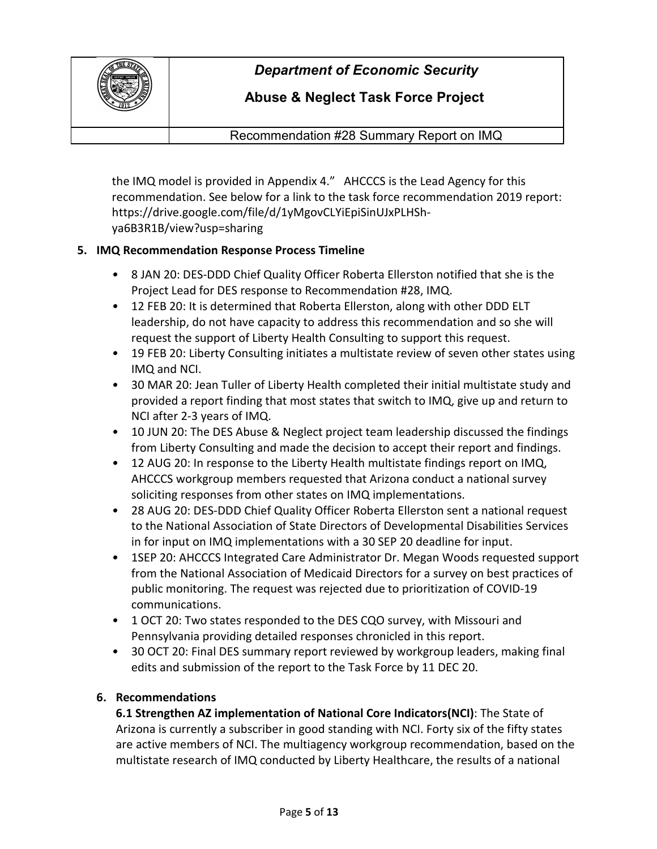

# **Abuse & Neglect Task Force Project**

Recommendation #28 Summary Report on IMQ

the IMQ model is provided in Appendix 4." AHCCCS is the Lead Agency for this recommendation. See below for a link to the task force recommendation 2019 report: https://drive.google.com/file/d/1yMgovCLYiEpiSinUJxPLHShya6B3R1B/view?usp=sharing

## **5. IMQ Recommendation Response Process Timeline**

- *•* 8 JAN 20: DES-DDD Chief Quality Officer Roberta Ellerston notified that she is the Project Lead for DES response to Recommendation #28, IMQ.
- *•* 12 FEB 20: It is determined that Roberta Ellerston, along with other DDD ELT leadership, do not have capacity to address this recommendation and so she will request the support of Liberty Health Consulting to support this request.
- *•* 19 FEB 20: Liberty Consulting initiates a multistate review of seven other states using IMQ and NCI.
- *•* 30 MAR 20: Jean Tuller of Liberty Health completed their initial multistate study and provided a report finding that most states that switch to IMQ, give up and return to NCI after 2-3 years of IMQ.
- *•* 10 JUN 20: The DES Abuse & Neglect project team leadership discussed the findings from Liberty Consulting and made the decision to accept their report and findings.
- *•* 12 AUG 20: In response to the Liberty Health multistate findings report on IMQ, AHCCCS workgroup members requested that Arizona conduct a national survey soliciting responses from other states on IMQ implementations.
- *•* 28 AUG 20: DES-DDD Chief Quality Officer Roberta Ellerston sent a national request to the National Association of State Directors of Developmental Disabilities Services in for input on IMQ implementations with a 30 SEP 20 deadline for input.
- *•* 1SEP 20: AHCCCS Integrated Care Administrator Dr. Megan Woods requested support from the National Association of Medicaid Directors for a survey on best practices of public monitoring. The request was rejected due to prioritization of COVID-19 communications.
- *•* 1 OCT 20: Two states responded to the DES CQO survey, with Missouri and Pennsylvania providing detailed responses chronicled in this report.
- *•* 30 OCT 20: Final DES summary report reviewed by workgroup leaders, making final edits and submission of the report to the Task Force by 11 DEC 20.

## **6. Recommendations**

**6.1 Strengthen AZ implementation of National Core Indicators(NCI)**: The State of Arizona is currently a subscriber in good standing with NCI. Forty six of the fifty states are active members of NCI. The multiagency workgroup recommendation, based on the multistate research of IMQ conducted by Liberty Healthcare, the results of a national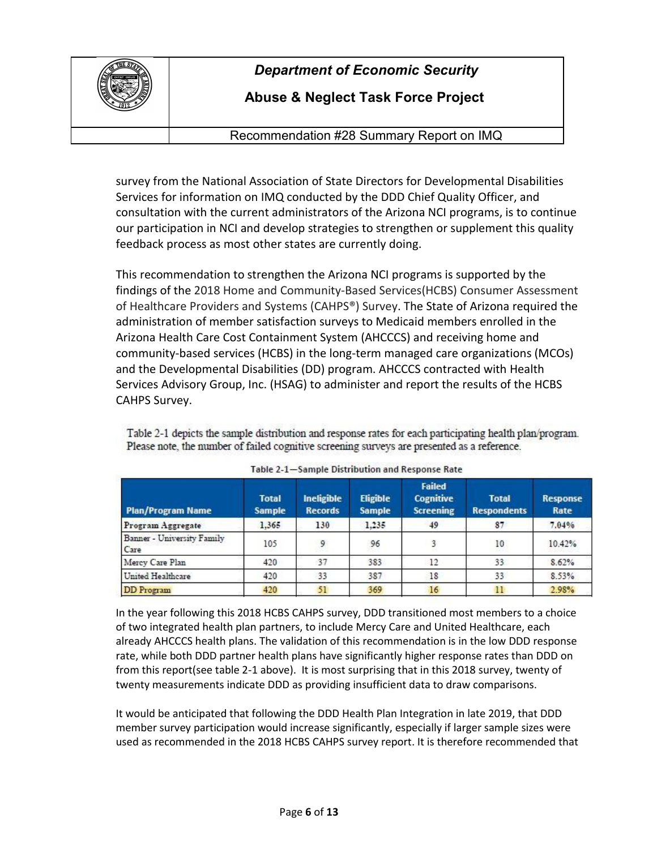

# **Abuse & Neglect Task Force Project**

Recommendation #28 Summary Report on IMQ

survey from the National Association of State Directors for Developmental Disabilities Services for information on IMQ conducted by the DDD Chief Quality Officer, and consultation with the current administrators of the Arizona NCI programs, is to continue our participation in NCI and develop strategies to strengthen or supplement this quality feedback process as most other states are currently doing.

This recommendation to strengthen the Arizona NCI programs is supported by the findings of the 2018 Home and Community-Based Services(HCBS) Consumer Assessment of Healthcare Providers and Systems (CAHPS®) Survey. The State of Arizona required the administration of member satisfaction surveys to Medicaid members enrolled in the Arizona Health Care Cost Containment System (AHCCCS) and receiving home and community-based services (HCBS) in the long-term managed care organizations (MCOs) and the Developmental Disabilities (DD) program. AHCCCS contracted with Health Services Advisory Group, Inc. (HSAG) to administer and report the results of the HCBS CAHPS Survey.

Table 2-1 depicts the sample distribution and response rates for each participating health plan/program. Please note, the number of failed cognitive screening surveys are presented as a reference.

| <b>Plan/Program Name</b>           | <b>Total</b><br><b>Sample</b> | Ineligible<br><b>Records</b> | Eligible<br><b>Sample</b> | <b>Failed</b><br>Cognitive<br><b>Screening</b> | <b>Total</b><br><b>Respondents</b> | <b>Response</b><br>Rate |
|------------------------------------|-------------------------------|------------------------------|---------------------------|------------------------------------------------|------------------------------------|-------------------------|
| Program Aggregate                  | 1.365                         | 130                          | 1.235                     | 49                                             | 87                                 | 7.04%                   |
| Banner - University Family<br>Care | 105                           | 9                            | 96                        |                                                | 10                                 | 10.42%                  |
| Mercy Care Plan                    | 420                           | 37                           | 383                       | 12                                             | 33                                 | 8.62%                   |
| United Healthcare                  | 420                           | 33                           | 387                       | 18                                             | 33                                 | 8.53%                   |
| <b>DD</b> Program                  | 420                           | 51                           | 369                       | 16                                             | 11                                 | 2.98%                   |
|                                    |                               |                              |                           |                                                |                                    |                         |

| Table 2-1-Sample Distribution and Response Rate |  |  |
|-------------------------------------------------|--|--|

In the year following this 2018 HCBS CAHPS survey, DDD transitioned most members to a choice of two integrated health plan partners, to include Mercy Care and United Healthcare, each already AHCCCS health plans. The validation of this recommendation is in the low DDD response rate, while both DDD partner health plans have significantly higher response rates than DDD on from this report(see table 2-1 above). It is most surprising that in this 2018 survey, twenty of twenty measurements indicate DDD as providing insufficient data to draw comparisons.

It would be anticipated that following the DDD Health Plan Integration in late 2019, that DDD member survey participation would increase significantly, especially if larger sample sizes were used as recommended in the 2018 HCBS CAHPS survey report. It is therefore recommended that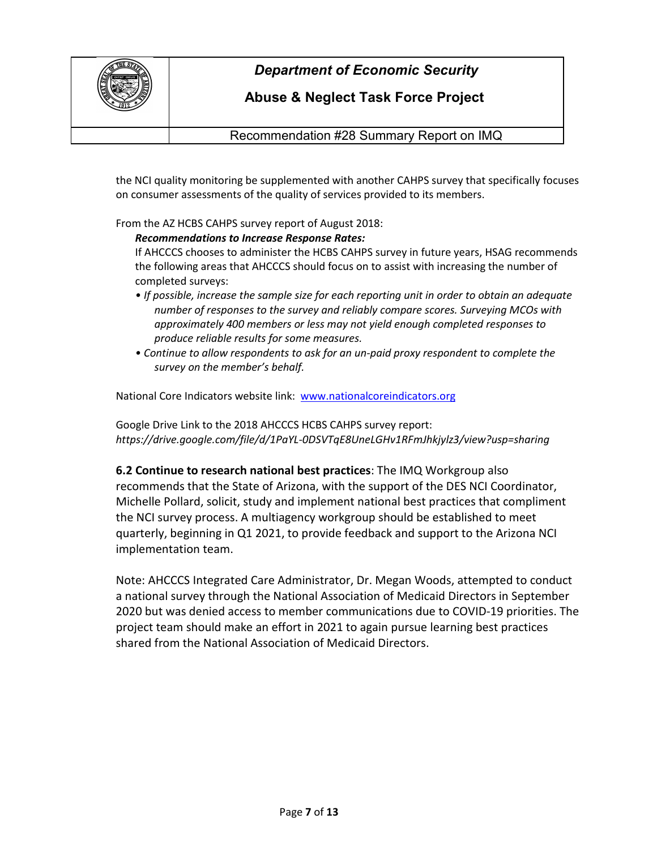

# **Abuse & Neglect Task Force Project**

Recommendation #28 Summary Report on IMQ

the NCI quality monitoring be supplemented with another CAHPS survey that specifically focuses on consumer assessments of the quality of services provided to its members.

From the AZ HCBS CAHPS survey report of August 2018:

## *Recommendations to Increase Response Rates:*

If AHCCCS chooses to administer the HCBS CAHPS survey in future years, HSAG recommends the following areas that AHCCCS should focus on to assist with increasing the number of completed surveys:

- *If possible, increase the sample size for each reporting unit in order to obtain an adequate number of responses to the survey and reliably compare scores. Surveying MCOs with approximately 400 members or less may not yield enough completed responses to produce reliable results for some measures.*
- *Continue to allow respondents to ask for an un-paid proxy respondent to complete the survey on the member's behalf.*

National Core Indicators website link: [www.nationalcoreindicators.org](http://www.nationalcoreindicators.org/)

Google Drive Link to the 2018 AHCCCS HCBS CAHPS survey report: *https://drive.google.com/file/d/1PaYL-0DSVTqE8UneLGHv1RFmJhkjylz3/view?usp=sharing*

**6.2 Continue to research national best practices**: The IMQ Workgroup also recommends that the State of Arizona, with the support of the DES NCI Coordinator, Michelle Pollard, solicit, study and implement national best practices that compliment the NCI survey process. A multiagency workgroup should be established to meet quarterly, beginning in Q1 2021, to provide feedback and support to the Arizona NCI implementation team.

Note: AHCCCS Integrated Care Administrator, Dr. Megan Woods, attempted to conduct a national survey through the National Association of Medicaid Directors in September 2020 but was denied access to member communications due to COVID-19 priorities. The project team should make an effort in 2021 to again pursue learning best practices shared from the National Association of Medicaid Directors.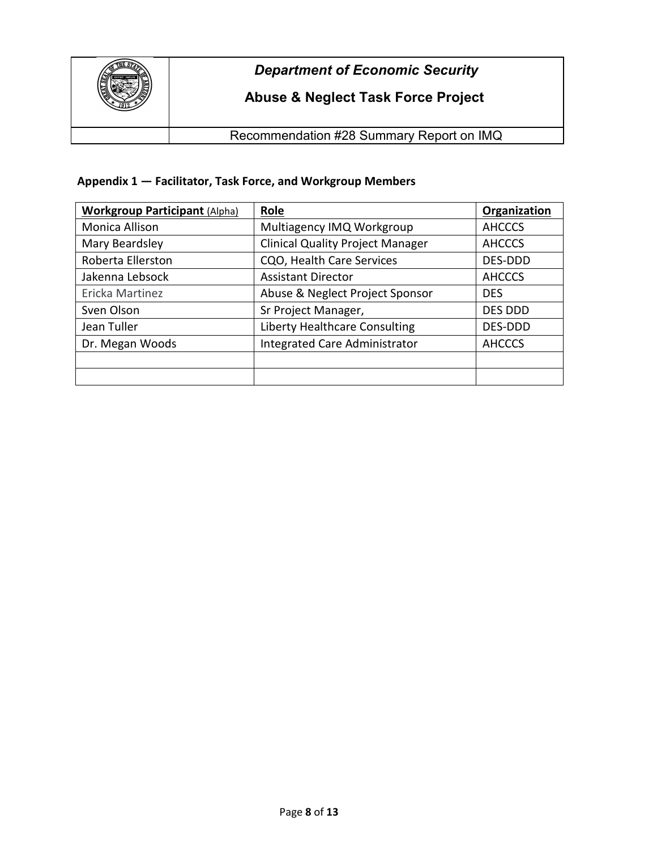

# **Abuse & Neglect Task Force Project**

Recommendation #28 Summary Report on IMQ

## **Appendix 1 — Facilitator, Task Force, and Workgroup Members**

| <b>Workgroup Participant (Alpha)</b> | Role                                    | Organization   |
|--------------------------------------|-----------------------------------------|----------------|
| Monica Allison                       | Multiagency IMQ Workgroup               | <b>AHCCCS</b>  |
| Mary Beardsley                       | <b>Clinical Quality Project Manager</b> | <b>AHCCCS</b>  |
| Roberta Ellerston                    | CQO, Health Care Services               | DES-DDD        |
| Jakenna Lebsock                      | <b>Assistant Director</b>               | <b>AHCCCS</b>  |
| Ericka Martinez                      | Abuse & Neglect Project Sponsor         | <b>DES</b>     |
| Sven Olson                           | Sr Project Manager,                     | <b>DES DDD</b> |
| Jean Tuller                          | Liberty Healthcare Consulting           | DES-DDD        |
| Dr. Megan Woods                      | <b>Integrated Care Administrator</b>    | <b>AHCCCS</b>  |
|                                      |                                         |                |
|                                      |                                         |                |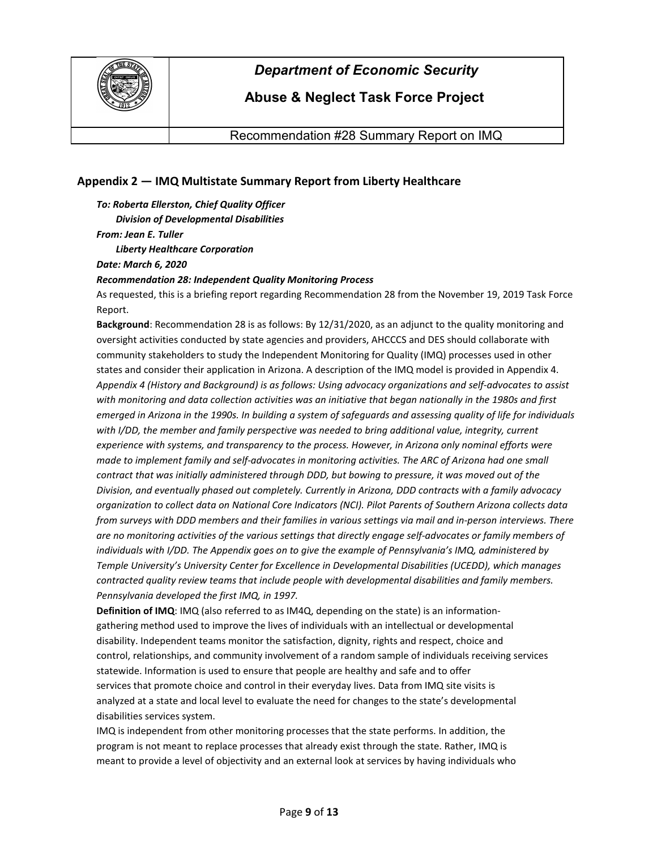

## **Abuse & Neglect Task Force Project**

Recommendation #28 Summary Report on IMQ

## **Appendix 2 — IMQ Multistate Summary Report from Liberty Healthcare**

*To: Roberta Ellerston, Chief Quality Officer Division of Developmental Disabilities From: Jean E. Tuller*

#### *Liberty Healthcare Corporation*

*Date: March 6, 2020*

#### *Recommendation 28: Independent Quality Monitoring Process*

As requested, this is a briefing report regarding Recommendation 28 from the November 19, 2019 Task Force Report.

**Background**: Recommendation 28 is as follows: By 12/31/2020, as an adjunct to the quality monitoring and oversight activities conducted by state agencies and providers, AHCCCS and DES should collaborate with community stakeholders to study the Independent Monitoring for Quality (IMQ) processes used in other states and consider their application in Arizona. A description of the IMQ model is provided in Appendix 4. *Appendix 4 (History and Background) is as follows: Using advocacy organizations and self-advocates to assist with monitoring and data collection activities was an initiative that began nationally in the 1980s and first emerged in Arizona in the 1990s. In building a system of safeguards and assessing quality of life for individuals with I/DD, the member and family perspective was needed to bring additional value, integrity, current experience with systems, and transparency to the process. However, in Arizona only nominal efforts were made to implement family and self-advocates in monitoring activities. The ARC of Arizona had one small contract that was initially administered through DDD, but bowing to pressure, it was moved out of the Division, and eventually phased out completely. Currently in Arizona, DDD contracts with a family advocacy organization to collect data on National Core Indicators (NCI). Pilot Parents of Southern Arizona collects data from surveys with DDD members and their families in various settings via mail and in-person interviews. There are no monitoring activities of the various settings that directly engage self-advocates or family members of individuals with I/DD. The Appendix goes on to give the example of Pennsylvania's IMQ, administered by Temple University's University Center for Excellence in Developmental Disabilities (UCEDD), which manages contracted quality review teams that include people with developmental disabilities and family members. Pennsylvania developed the first IMQ, in 1997.*

**Definition of IMQ**: IMQ (also referred to as IM4Q, depending on the state) is an informationgathering method used to improve the lives of individuals with an intellectual or developmental disability. Independent teams monitor the satisfaction, dignity, rights and respect, choice and control, relationships, and community involvement of a random sample of individuals receiving services statewide. Information is used to ensure that people are healthy and safe and to offer services that promote choice and control in their everyday lives. Data from IMQ site visits is analyzed at a state and local level to evaluate the need for changes to the state's developmental disabilities services system.

IMQ is independent from other monitoring processes that the state performs. In addition, the program is not meant to replace processes that already exist through the state. Rather, IMQ is meant to provide a level of objectivity and an external look at services by having individuals who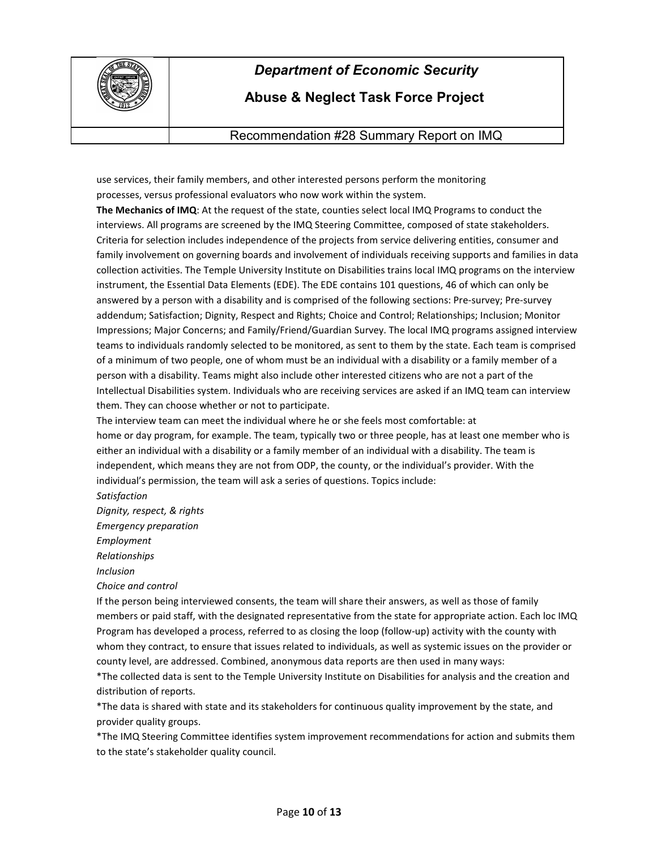

# **Abuse & Neglect Task Force Project**

Recommendation #28 Summary Report on IMQ

use services, their family members, and other interested persons perform the monitoring processes, versus professional evaluators who now work within the system.

**The Mechanics of IMQ**: At the request of the state, counties select local IMQ Programs to conduct the interviews. All programs are screened by the IMQ Steering Committee, composed of state stakeholders. Criteria for selection includes independence of the projects from service delivering entities, consumer and family involvement on governing boards and involvement of individuals receiving supports and families in data collection activities. The Temple University Institute on Disabilities trains local IMQ programs on the interview instrument, the Essential Data Elements (EDE). The EDE contains 101 questions, 46 of which can only be answered by a person with a disability and is comprised of the following sections: Pre-survey; Pre-survey addendum; Satisfaction; Dignity, Respect and Rights; Choice and Control; Relationships; Inclusion; Monitor Impressions; Major Concerns; and Family/Friend/Guardian Survey. The local IMQ programs assigned interview teams to individuals randomly selected to be monitored, as sent to them by the state. Each team is comprised of a minimum of two people, one of whom must be an individual with a disability or a family member of a person with a disability. Teams might also include other interested citizens who are not a part of the Intellectual Disabilities system. Individuals who are receiving services are asked if an IMQ team can interview them. They can choose whether or not to participate.

The interview team can meet the individual where he or she feels most comfortable: at

home or day program, for example. The team, typically two or three people, has at least one member who is either an individual with a disability or a family member of an individual with a disability. The team is independent, which means they are not from ODP, the county, or the individual's provider. With the individual's permission, the team will ask a series of questions. Topics include:

*Satisfaction*

*Dignity, respect, & rights*

*Emergency preparation*

*Employment*

*Relationships*

*Inclusion*

*Choice and control*

If the person being interviewed consents, the team will share their answers, as well as those of family members or paid staff, with the designated representative from the state for appropriate action. Each loc IMQ Program has developed a process, referred to as closing the loop (follow-up) activity with the county with whom they contract, to ensure that issues related to individuals, as well as systemic issues on the provider or county level, are addressed. Combined, anonymous data reports are then used in many ways:

\*The collected data is sent to the Temple University Institute on Disabilities for analysis and the creation and distribution of reports.

\*The data is shared with state and its stakeholders for continuous quality improvement by the state, and provider quality groups.

\*The IMQ Steering Committee identifies system improvement recommendations for action and submits them to the state's stakeholder quality council.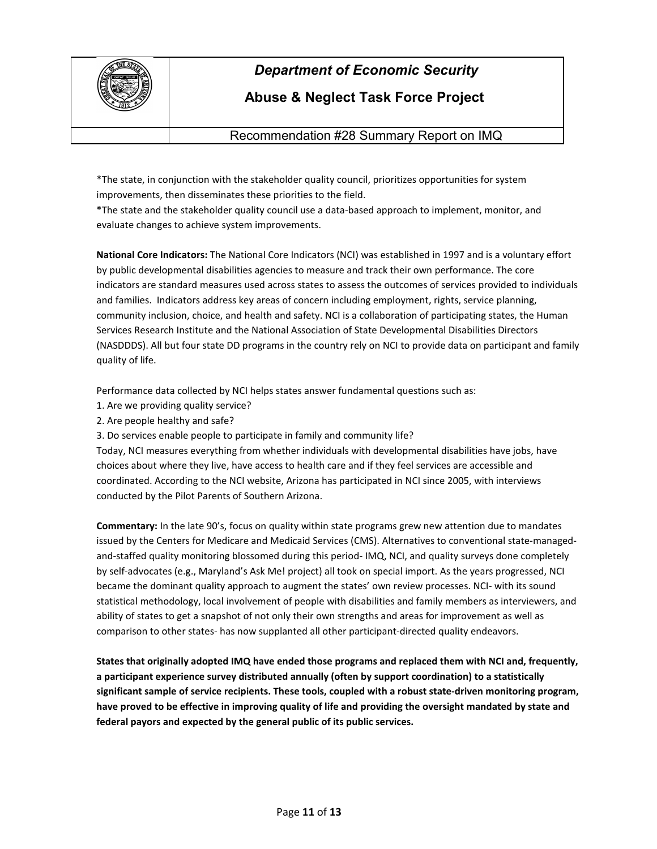

## **Abuse & Neglect Task Force Project**

Recommendation #28 Summary Report on IMQ

\*The state, in conjunction with the stakeholder quality council, prioritizes opportunities for system improvements, then disseminates these priorities to the field.

\*The state and the stakeholder quality council use a data-based approach to implement, monitor, and evaluate changes to achieve system improvements.

**National Core Indicators:** The National Core Indicators (NCI) was established in 1997 and is a voluntary effort by public developmental disabilities agencies to measure and track their own performance. The core indicators are standard measures used across states to assess the outcomes of services provided to individuals and families. Indicators address key areas of concern including employment, rights, service planning, community inclusion, choice, and health and safety. NCI is a collaboration of participating states, the Human Services Research Institute and the National Association of State Developmental Disabilities Directors (NASDDDS). All but four state DD programs in the country rely on NCI to provide data on participant and family quality of life.

Performance data collected by NCI helps states answer fundamental questions such as:

- 1. Are we providing quality service?
- 2. Are people healthy and safe?
- 3. Do services enable people to participate in family and community life?

Today, NCI measures everything from whether individuals with developmental disabilities have jobs, have choices about where they live, have access to health care and if they feel services are accessible and coordinated. According to the NCI website, Arizona has participated in NCI since 2005, with interviews conducted by the Pilot Parents of Southern Arizona.

**Commentary:** In the late 90's, focus on quality within state programs grew new attention due to mandates issued by the Centers for Medicare and Medicaid Services (CMS). Alternatives to conventional state-managedand-staffed quality monitoring blossomed during this period- IMQ, NCI, and quality surveys done completely by self-advocates (e.g., Maryland's Ask Me! project) all took on special import. As the years progressed, NCI became the dominant quality approach to augment the states' own review processes. NCI- with its sound statistical methodology, local involvement of people with disabilities and family members as interviewers, and ability of states to get a snapshot of not only their own strengths and areas for improvement as well as comparison to other states- has now supplanted all other participant-directed quality endeavors.

**States that originally adopted IMQ have ended those programs and replaced them with NCI and, frequently, a participant experience survey distributed annually (often by support coordination) to a statistically significant sample of service recipients. These tools, coupled with a robust state-driven monitoring program, have proved to be effective in improving quality of life and providing the oversight mandated by state and federal payors and expected by the general public of its public services.**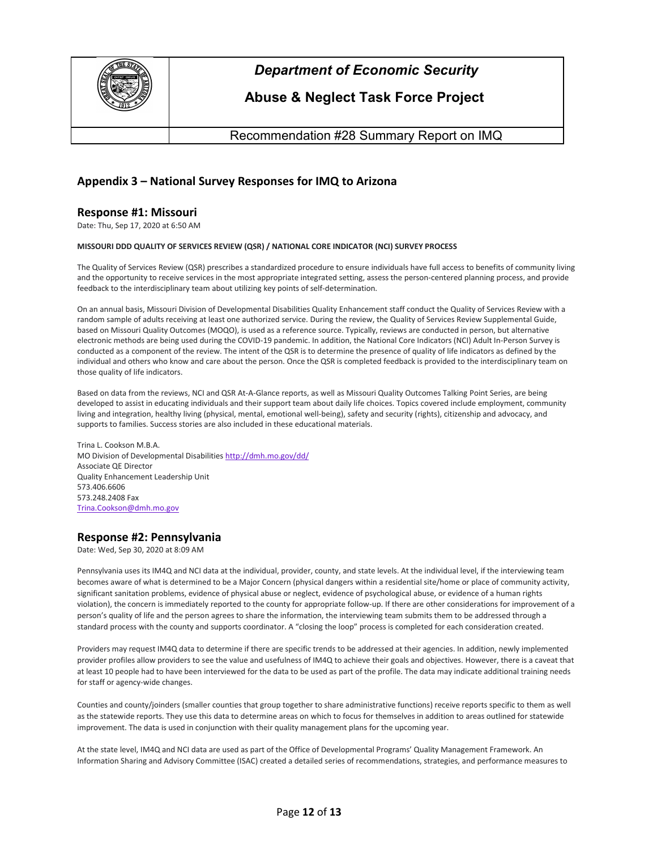

## **Abuse & Neglect Task Force Project**

Recommendation #28 Summary Report on IMQ

## **Appendix 3 – National Survey Responses for IMQ to Arizona**

#### **Response #1: Missouri**

Date: Thu, Sep 17, 2020 at 6:50 AM

#### **MISSOURI DDD QUALITY OF SERVICES REVIEW (QSR) / NATIONAL CORE INDICATOR (NCI) SURVEY PROCESS**

The Quality of Services Review (QSR) prescribes a standardized procedure to ensure individuals have full access to benefits of community living and the opportunity to receive services in the most appropriate integrated setting, assess the person-centered planning process, and provide feedback to the interdisciplinary team about utilizing key points of self-determination.

On an annual basis, Missouri Division of Developmental Disabilities Quality Enhancement staff conduct the Quality of Services Review with a random sample of adults receiving at least one authorized service. During the review, the Quality of Services Review Supplemental Guide, based on Missouri Quality Outcomes (MOQO), is used as a reference source. Typically, reviews are conducted in person, but alternative electronic methods are being used during the COVID-19 pandemic. In addition, the National Core Indicators (NCI) Adult In-Person Survey is conducted as a component of the review. The intent of the QSR is to determine the presence of quality of life indicators as defined by the individual and others who know and care about the person. Once the QSR is completed feedback is provided to the interdisciplinary team on those quality of life indicators.

Based on data from the reviews, NCI and QSR At-A-Glance reports, as well as Missouri Quality Outcomes Talking Point Series, are being developed to assist in educating individuals and their support team about daily life choices. Topics covered include employment, community living and integration, healthy living (physical, mental, emotional well-being), safety and security (rights), citizenship and advocacy, and supports to families. Success stories are also included in these educational materials.

Trina L. Cookson M.B.A. MO Division of Developmental Disabilitie[s http://dmh.mo.gov/dd/](http://dmh.mo.gov/dd/) Associate QE Director Quality Enhancement Leadership Unit 573.406.6606 573.248.2408 Fax [Trina.Cookson@dmh.mo.gov](mailto:Trina.Cookson@dmh.mo.gov)

### **Response #2: Pennsylvania**

Date: Wed, Sep 30, 2020 at 8:09 AM

Pennsylvania uses its IM4Q and NCI data at the individual, provider, county, and state levels. At the individual level, if the interviewing team becomes aware of what is determined to be a Major Concern (physical dangers within a residential site/home or place of community activity, significant sanitation problems, evidence of physical abuse or neglect, evidence of psychological abuse, or evidence of a human rights violation), the concern is immediately reported to the county for appropriate follow-up. If there are other considerations for improvement of a person's quality of life and the person agrees to share the information, the interviewing team submits them to be addressed through a standard process with the county and supports coordinator. A "closing the loop" process is completed for each consideration created.

Providers may request IM4Q data to determine if there are specific trends to be addressed at their agencies. In addition, newly implemented provider profiles allow providers to see the value and usefulness of IM4Q to achieve their goals and objectives. However, there is a caveat that at least 10 people had to have been interviewed for the data to be used as part of the profile. The data may indicate additional training needs for staff or agency-wide changes.

Counties and county/joinders (smaller counties that group together to share administrative functions) receive reports specific to them as well as the statewide reports. They use this data to determine areas on which to focus for themselves in addition to areas outlined for statewide improvement. The data is used in conjunction with their quality management plans for the upcoming year.

At the state level, IM4Q and NCI data are used as part of the Office of Developmental Programs' Quality Management Framework. An Information Sharing and Advisory Committee (ISAC) created a detailed series of recommendations, strategies, and performance measures to